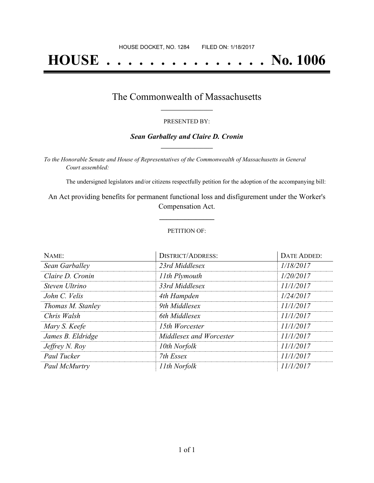# **HOUSE . . . . . . . . . . . . . . . No. 1006**

## The Commonwealth of Massachusetts **\_\_\_\_\_\_\_\_\_\_\_\_\_\_\_\_\_**

#### PRESENTED BY:

#### *Sean Garballey and Claire D. Cronin* **\_\_\_\_\_\_\_\_\_\_\_\_\_\_\_\_\_**

*To the Honorable Senate and House of Representatives of the Commonwealth of Massachusetts in General Court assembled:*

The undersigned legislators and/or citizens respectfully petition for the adoption of the accompanying bill:

An Act providing benefits for permanent functional loss and disfigurement under the Worker's Compensation Act.

**\_\_\_\_\_\_\_\_\_\_\_\_\_\_\_**

#### PETITION OF:

| NAME:             | <b>DISTRICT/ADDRESS:</b> | DATE ADDED: |
|-------------------|--------------------------|-------------|
| Sean Garballey    | 23rd Middlesex           | 1/18/2017   |
| Claire D. Cronin  | 11th Plymouth            | 1/20/2017   |
| Steven Ultrino    | 33rd Middlesex           | 11/1/2017   |
| John C. Velis     | 4th Hampden              | 1/24/2017   |
| Thomas M. Stanley | 9th Middlesex            | 11/1/2017   |
| Chris Walsh       | 6th Middlesex            | 11/1/2017   |
| Mary S. Keefe     | 15th Worcester           | 11/1/2017   |
| James B. Eldridge | Middlesex and Worcester  | 11/1/2017   |
| Jeffrey N. Roy    | 10th Norfolk             | 11/1/2017   |
| Paul Tucker       | 7th Essex                | 11/1/2017   |
| Paul McMurtry     | 11th Norfolk             | 11/1/2017   |